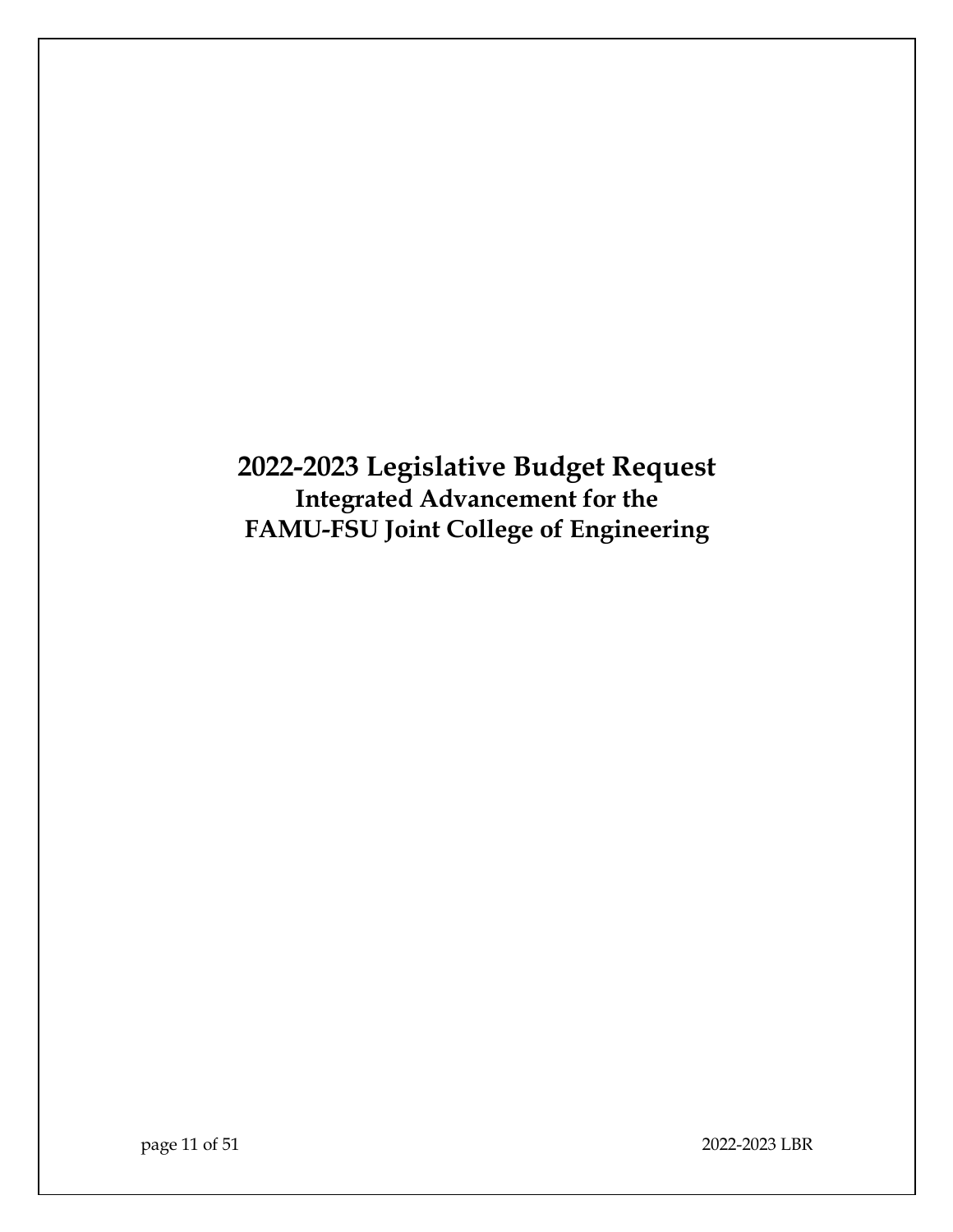**2022-2023 Legislative Budget Request Integrated Advancement for the FAMU-FSU Joint College of Engineering**

page 11 of 51 2022-2023 LBR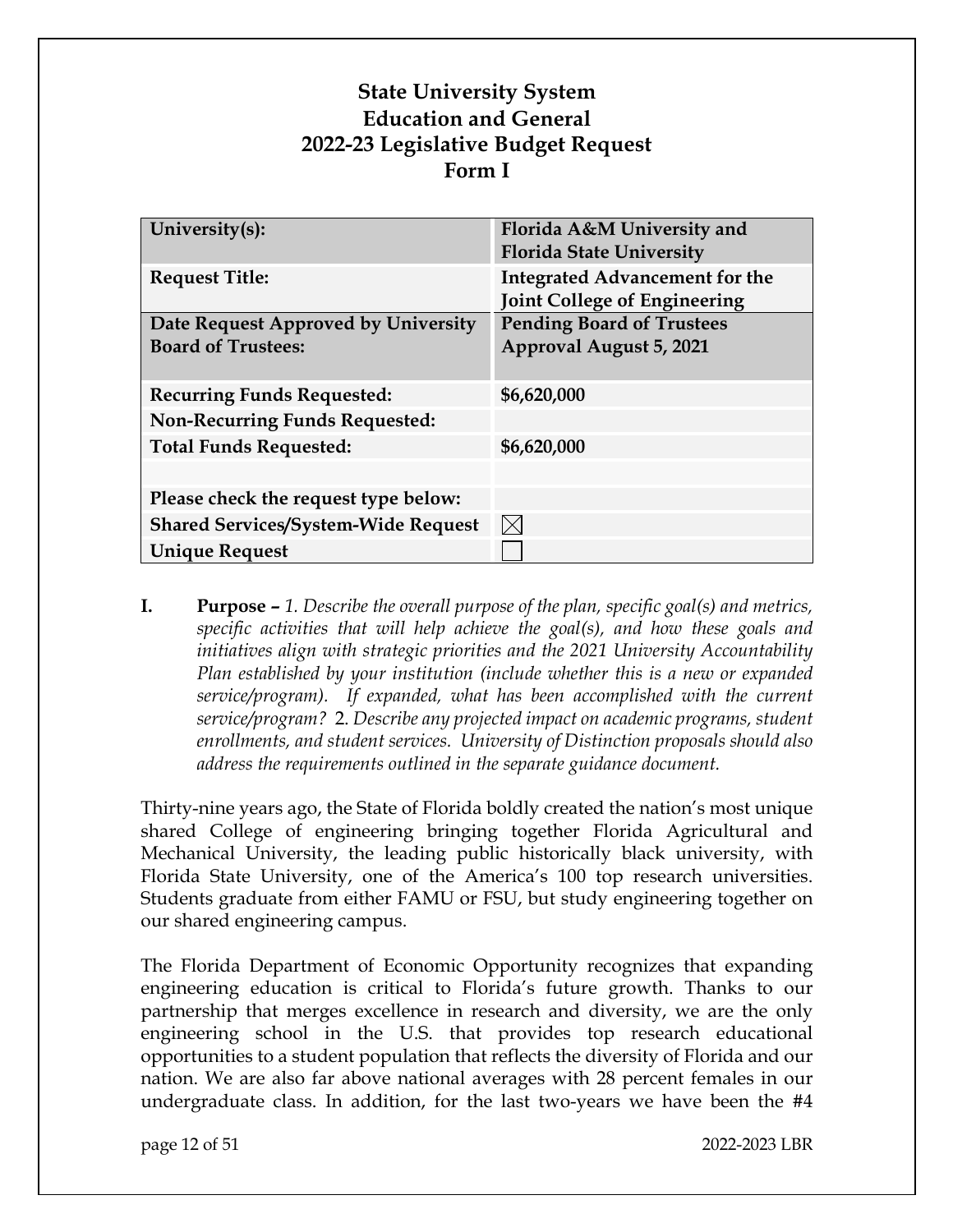# **State University System Education and General 2022-23 Legislative Budget Request Form I**

| Florida A&M University and            |  |
|---------------------------------------|--|
| <b>Florida State University</b>       |  |
|                                       |  |
| <b>Integrated Advancement for the</b> |  |
| <b>Joint College of Engineering</b>   |  |
| <b>Pending Board of Trustees</b>      |  |
| Approval August 5, 2021               |  |
|                                       |  |
|                                       |  |
| \$6,620,000                           |  |
|                                       |  |
| \$6,620,000                           |  |
|                                       |  |
|                                       |  |
| $\boxtimes$                           |  |
|                                       |  |
|                                       |  |

**I. Purpose –** *1. Describe the overall purpose of the plan, specific goal(s) and metrics, specific activities that will help achieve the goal(s), and how these goals and initiatives align with strategic priorities and the 2021 University Accountability Plan established by your institution (include whether this is a new or expanded service/program). If expanded, what has been accomplished with the current service/program?* 2. *Describe any projected impact on academic programs, student enrollments, and student services. University of Distinction proposals should also address the requirements outlined in the separate guidance document.*

Thirty-nine years ago, the State of Florida boldly created the nation's most unique shared College of engineering bringing together Florida Agricultural and Mechanical University, the leading public historically black university, with Florida State University, one of the America's 100 top research universities. Students graduate from either FAMU or FSU, but study engineering together on our shared engineering campus.

The Florida Department of Economic Opportunity recognizes that expanding engineering education is critical to Florida's future growth. Thanks to our partnership that merges excellence in research and diversity, we are the only engineering school in the U.S. that provides top research educational opportunities to a student population that reflects the diversity of Florida and our nation. We are also far above national averages with 28 percent females in our undergraduate class. In addition, for the last two-years we have been the #4

page 12 of 51 2022-2023 LBR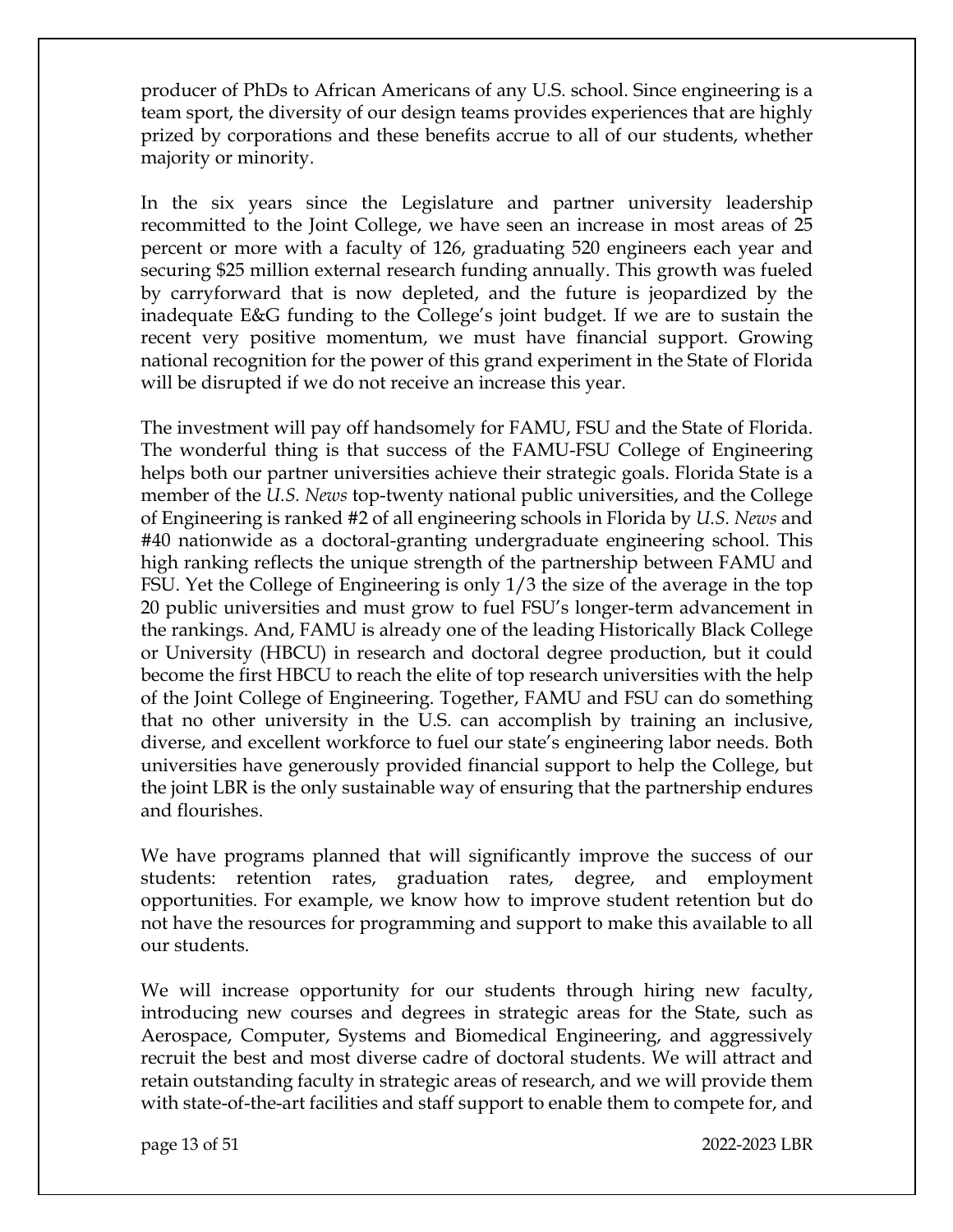producer of PhDs to African Americans of any U.S. school. Since engineering is a team sport, the diversity of our design teams provides experiences that are highly prized by corporations and these benefits accrue to all of our students, whether majority or minority.

In the six years since the Legislature and partner university leadership recommitted to the Joint College, we have seen an increase in most areas of 25 percent or more with a faculty of 126, graduating 520 engineers each year and securing \$25 million external research funding annually. This growth was fueled by carryforward that is now depleted, and the future is jeopardized by the inadequate E&G funding to the College's joint budget. If we are to sustain the recent very positive momentum, we must have financial support. Growing national recognition for the power of this grand experiment in the State of Florida will be disrupted if we do not receive an increase this year.

The investment will pay off handsomely for FAMU, FSU and the State of Florida. The wonderful thing is that success of the FAMU-FSU College of Engineering helps both our partner universities achieve their strategic goals. Florida State is a member of the *U.S. News* top-twenty national public universities, and the College of Engineering is ranked #2 of all engineering schools in Florida by *U.S. News* and #40 nationwide as a doctoral-granting undergraduate engineering school. This high ranking reflects the unique strength of the partnership between FAMU and FSU. Yet the College of Engineering is only 1/3 the size of the average in the top 20 public universities and must grow to fuel FSU's longer-term advancement in the rankings. And, FAMU is already one of the leading Historically Black College or University (HBCU) in research and doctoral degree production, but it could become the first HBCU to reach the elite of top research universities with the help of the Joint College of Engineering. Together, FAMU and FSU can do something that no other university in the U.S. can accomplish by training an inclusive, diverse, and excellent workforce to fuel our state's engineering labor needs. Both universities have generously provided financial support to help the College, but the joint LBR is the only sustainable way of ensuring that the partnership endures and flourishes.

We have programs planned that will significantly improve the success of our students: retention rates, graduation rates, degree, and employment opportunities. For example, we know how to improve student retention but do not have the resources for programming and support to make this available to all our students.

We will increase opportunity for our students through hiring new faculty, introducing new courses and degrees in strategic areas for the State, such as Aerospace, Computer, Systems and Biomedical Engineering, and aggressively recruit the best and most diverse cadre of doctoral students. We will attract and retain outstanding faculty in strategic areas of research, and we will provide them with state-of-the-art facilities and staff support to enable them to compete for, and

page 13 of 51 2022-2023 LBR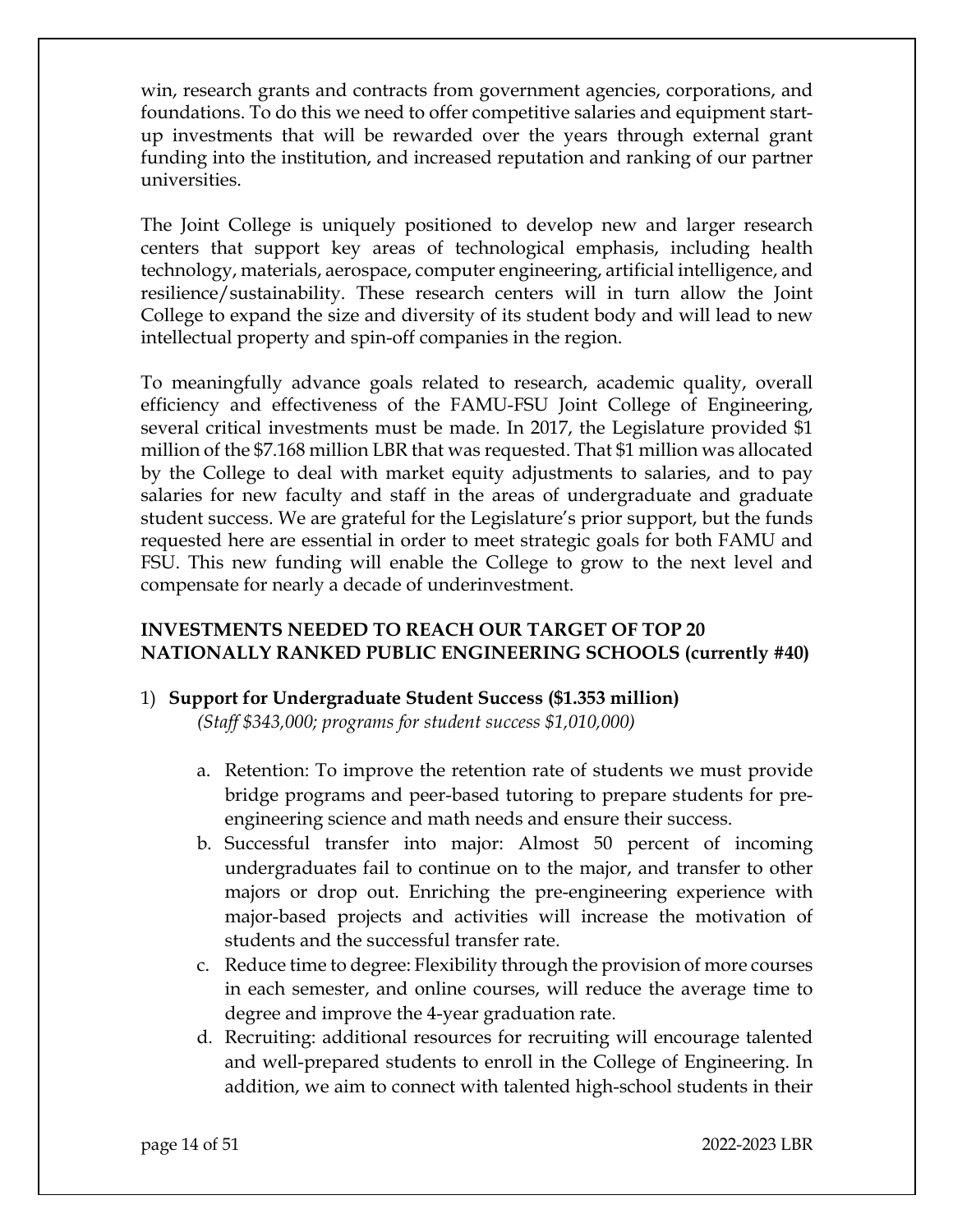win, research grants and contracts from government agencies, corporations, and foundations. To do this we need to offer competitive salaries and equipment startup investments that will be rewarded over the years through external grant funding into the institution, and increased reputation and ranking of our partner universities.

The Joint College is uniquely positioned to develop new and larger research centers that support key areas of technological emphasis, including health technology, materials, aerospace, computer engineering, artificial intelligence, and resilience/sustainability. These research centers will in turn allow the Joint College to expand the size and diversity of its student body and will lead to new intellectual property and spin-off companies in the region.

To meaningfully advance goals related to research, academic quality, overall efficiency and effectiveness of the FAMU-FSU Joint College of Engineering, several critical investments must be made. In 2017, the Legislature provided \$1 million of the \$7.168 million LBR that was requested. That \$1 million was allocated by the College to deal with market equity adjustments to salaries, and to pay salaries for new faculty and staff in the areas of undergraduate and graduate student success. We are grateful for the Legislature's prior support, but the funds requested here are essential in order to meet strategic goals for both FAMU and FSU. This new funding will enable the College to grow to the next level and compensate for nearly a decade of underinvestment.

# **INVESTMENTS NEEDED TO REACH OUR TARGET OF TOP 20 NATIONALLY RANKED PUBLIC ENGINEERING SCHOOLS (currently #40)**

# 1) **Support for Undergraduate Student Success (\$1.353 million)**

*(Staff \$343,000; programs for student success \$1,010,000)*

- a. Retention: To improve the retention rate of students we must provide bridge programs and peer-based tutoring to prepare students for preengineering science and math needs and ensure their success.
- b. Successful transfer into major: Almost 50 percent of incoming undergraduates fail to continue on to the major, and transfer to other majors or drop out. Enriching the pre-engineering experience with major-based projects and activities will increase the motivation of students and the successful transfer rate.
- c. Reduce time to degree: Flexibility through the provision of more courses in each semester, and online courses, will reduce the average time to degree and improve the 4-year graduation rate.
- d. Recruiting: additional resources for recruiting will encourage talented and well-prepared students to enroll in the College of Engineering. In addition, we aim to connect with talented high-school students in their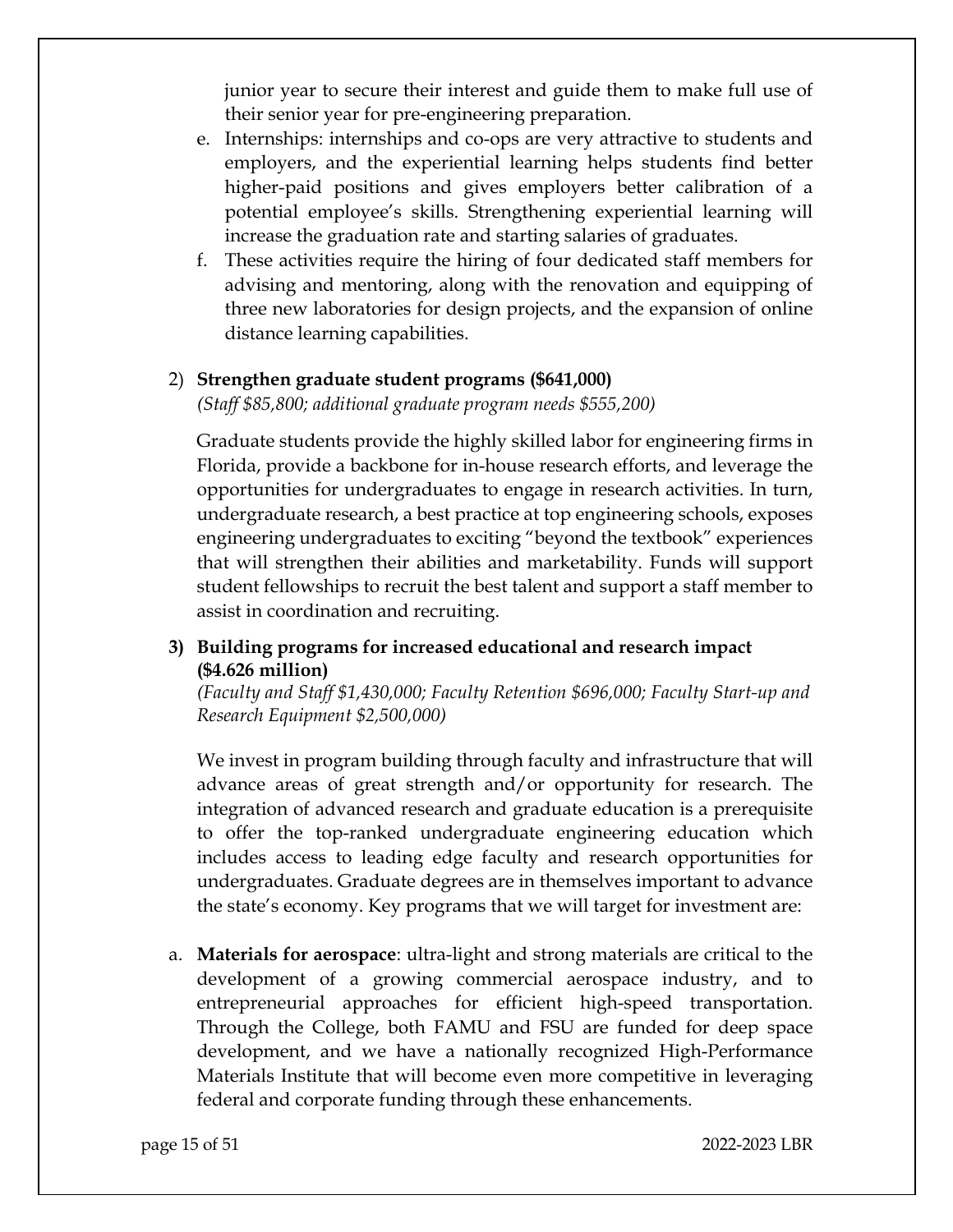junior year to secure their interest and guide them to make full use of their senior year for pre-engineering preparation.

- e. Internships: internships and co-ops are very attractive to students and employers, and the experiential learning helps students find better higher-paid positions and gives employers better calibration of a potential employee's skills. Strengthening experiential learning will increase the graduation rate and starting salaries of graduates.
- f. These activities require the hiring of four dedicated staff members for advising and mentoring, along with the renovation and equipping of three new laboratories for design projects, and the expansion of online distance learning capabilities.

#### 2) **Strengthen graduate student programs (\$641,000)**

*(Staff \$85,800; additional graduate program needs \$555,200)*

Graduate students provide the highly skilled labor for engineering firms in Florida, provide a backbone for in-house research efforts, and leverage the opportunities for undergraduates to engage in research activities. In turn, undergraduate research, a best practice at top engineering schools, exposes engineering undergraduates to exciting "beyond the textbook" experiences that will strengthen their abilities and marketability. Funds will support student fellowships to recruit the best talent and support a staff member to assist in coordination and recruiting.

## **3) Building programs for increased educational and research impact (\$4.626 million)**

*(Faculty and Staff \$1,430,000; Faculty Retention \$696,000; Faculty Start-up and Research Equipment \$2,500,000)*

We invest in program building through faculty and infrastructure that will advance areas of great strength and/or opportunity for research. The integration of advanced research and graduate education is a prerequisite to offer the top-ranked undergraduate engineering education which includes access to leading edge faculty and research opportunities for undergraduates. Graduate degrees are in themselves important to advance the state's economy. Key programs that we will target for investment are:

a. **Materials for aerospace**: ultra-light and strong materials are critical to the development of a growing commercial aerospace industry, and to entrepreneurial approaches for efficient high-speed transportation. Through the College, both FAMU and FSU are funded for deep space development, and we have a nationally recognized High-Performance Materials Institute that will become even more competitive in leveraging federal and corporate funding through these enhancements.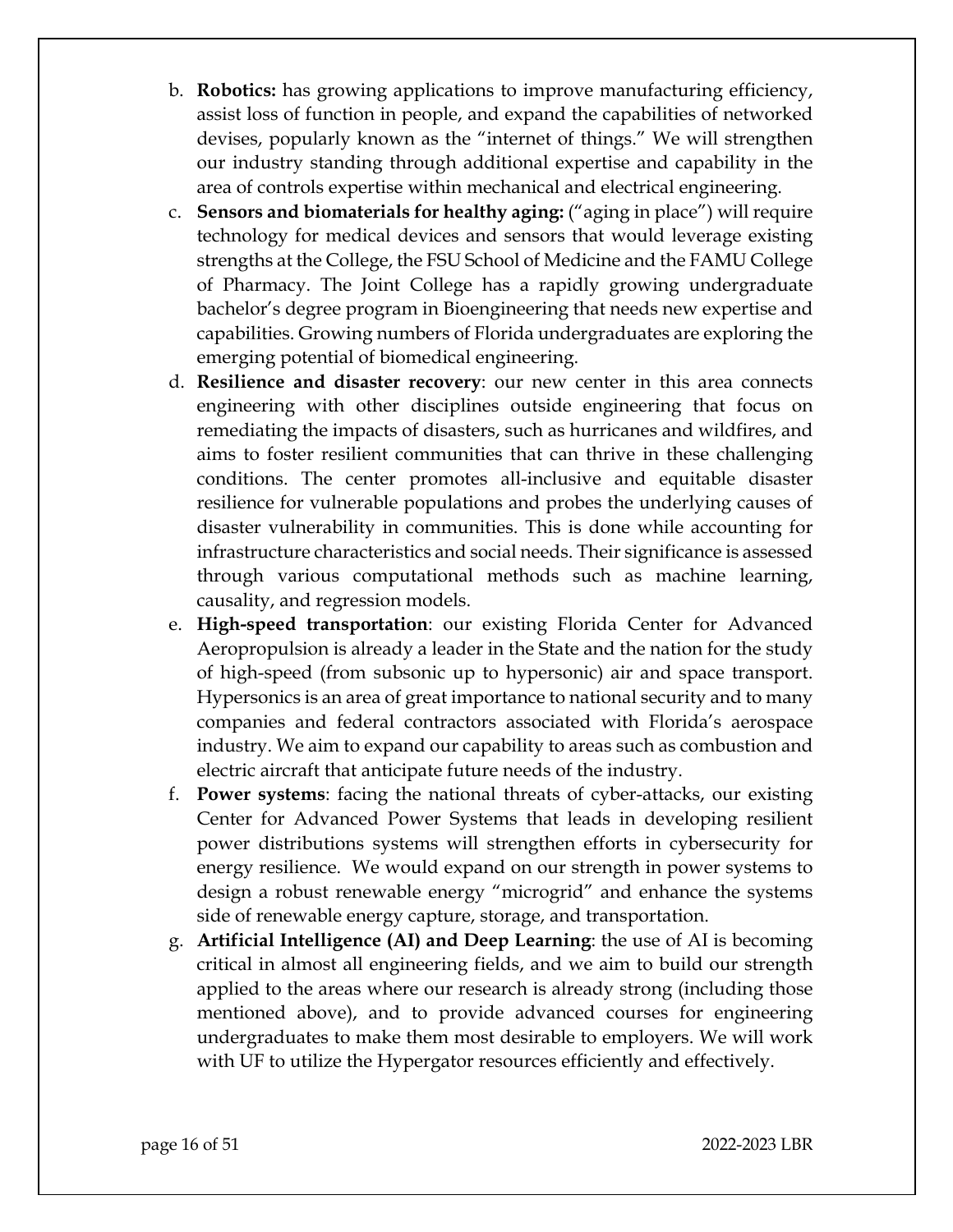- b. **Robotics:** has growing applications to improve manufacturing efficiency, assist loss of function in people, and expand the capabilities of networked devises, popularly known as the "internet of things." We will strengthen our industry standing through additional expertise and capability in the area of controls expertise within mechanical and electrical engineering.
- c. **Sensors and biomaterials for healthy aging:** ("aging in place") will require technology for medical devices and sensors that would leverage existing strengths at the College, the FSU School of Medicine and the FAMU College of Pharmacy. The Joint College has a rapidly growing undergraduate bachelor's degree program in Bioengineering that needs new expertise and capabilities. Growing numbers of Florida undergraduates are exploring the emerging potential of biomedical engineering.
- d. **Resilience and disaster recovery**: our new center in this area connects engineering with other disciplines outside engineering that focus on remediating the impacts of disasters, such as hurricanes and wildfires, and aims to foster resilient communities that can thrive in these challenging conditions. The center promotes all-inclusive and equitable disaster resilience for vulnerable populations and probes the underlying causes of disaster vulnerability in communities. This is done while accounting for infrastructure characteristics and social needs. Their significance is assessed through various computational methods such as machine learning, causality, and regression models.
- e. **High-speed transportation**: our existing Florida Center for Advanced Aeropropulsion is already a leader in the State and the nation for the study of high-speed (from subsonic up to hypersonic) air and space transport. Hypersonics is an area of great importance to national security and to many companies and federal contractors associated with Florida's aerospace industry. We aim to expand our capability to areas such as combustion and electric aircraft that anticipate future needs of the industry.
- f. **Power systems**: facing the national threats of cyber-attacks, our existing Center for Advanced Power Systems that leads in developing resilient power distributions systems will strengthen efforts in cybersecurity for energy resilience. We would expand on our strength in power systems to design a robust renewable energy "microgrid" and enhance the systems side of renewable energy capture, storage, and transportation.
- g. **Artificial Intelligence (AI) and Deep Learning**: the use of AI is becoming critical in almost all engineering fields, and we aim to build our strength applied to the areas where our research is already strong (including those mentioned above), and to provide advanced courses for engineering undergraduates to make them most desirable to employers. We will work with UF to utilize the Hypergator resources efficiently and effectively.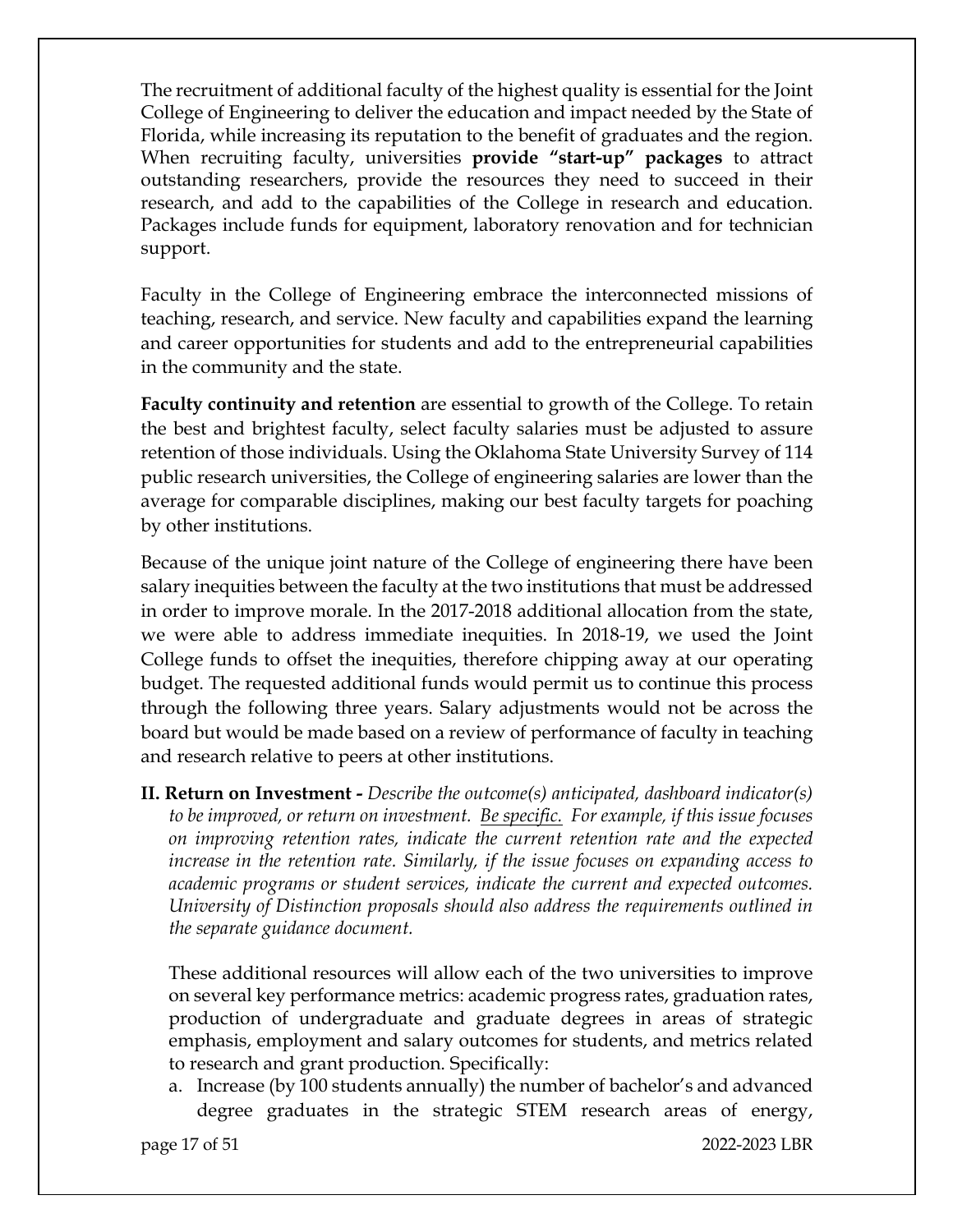The recruitment of additional faculty of the highest quality is essential for the Joint College of Engineering to deliver the education and impact needed by the State of Florida, while increasing its reputation to the benefit of graduates and the region. When recruiting faculty, universities **provide "start-up" packages** to attract outstanding researchers, provide the resources they need to succeed in their research, and add to the capabilities of the College in research and education. Packages include funds for equipment, laboratory renovation and for technician support.

Faculty in the College of Engineering embrace the interconnected missions of teaching, research, and service. New faculty and capabilities expand the learning and career opportunities for students and add to the entrepreneurial capabilities in the community and the state.

**Faculty continuity and retention** are essential to growth of the College. To retain the best and brightest faculty, select faculty salaries must be adjusted to assure retention of those individuals. Using the Oklahoma State University Survey of 114 public research universities, the College of engineering salaries are lower than the average for comparable disciplines, making our best faculty targets for poaching by other institutions.

Because of the unique joint nature of the College of engineering there have been salary inequities between the faculty at the two institutions that must be addressed in order to improve morale. In the 2017-2018 additional allocation from the state, we were able to address immediate inequities. In 2018-19, we used the Joint College funds to offset the inequities, therefore chipping away at our operating budget. The requested additional funds would permit us to continue this process through the following three years. Salary adjustments would not be across the board but would be made based on a review of performance of faculty in teaching and research relative to peers at other institutions.

**II. Return on Investment -** *Describe the outcome(s) anticipated, dashboard indicator(s) to be improved, or return on investment. Be specific. For example, if this issue focuses on improving retention rates, indicate the current retention rate and the expected increase in the retention rate. Similarly, if the issue focuses on expanding access to academic programs or student services, indicate the current and expected outcomes. University of Distinction proposals should also address the requirements outlined in the separate guidance document.*

These additional resources will allow each of the two universities to improve on several key performance metrics: academic progress rates, graduation rates, production of undergraduate and graduate degrees in areas of strategic emphasis, employment and salary outcomes for students, and metrics related to research and grant production. Specifically:

a. Increase (by 100 students annually) the number of bachelor's and advanced degree graduates in the strategic STEM research areas of energy,

page 17 of 51 2022-2023 LBR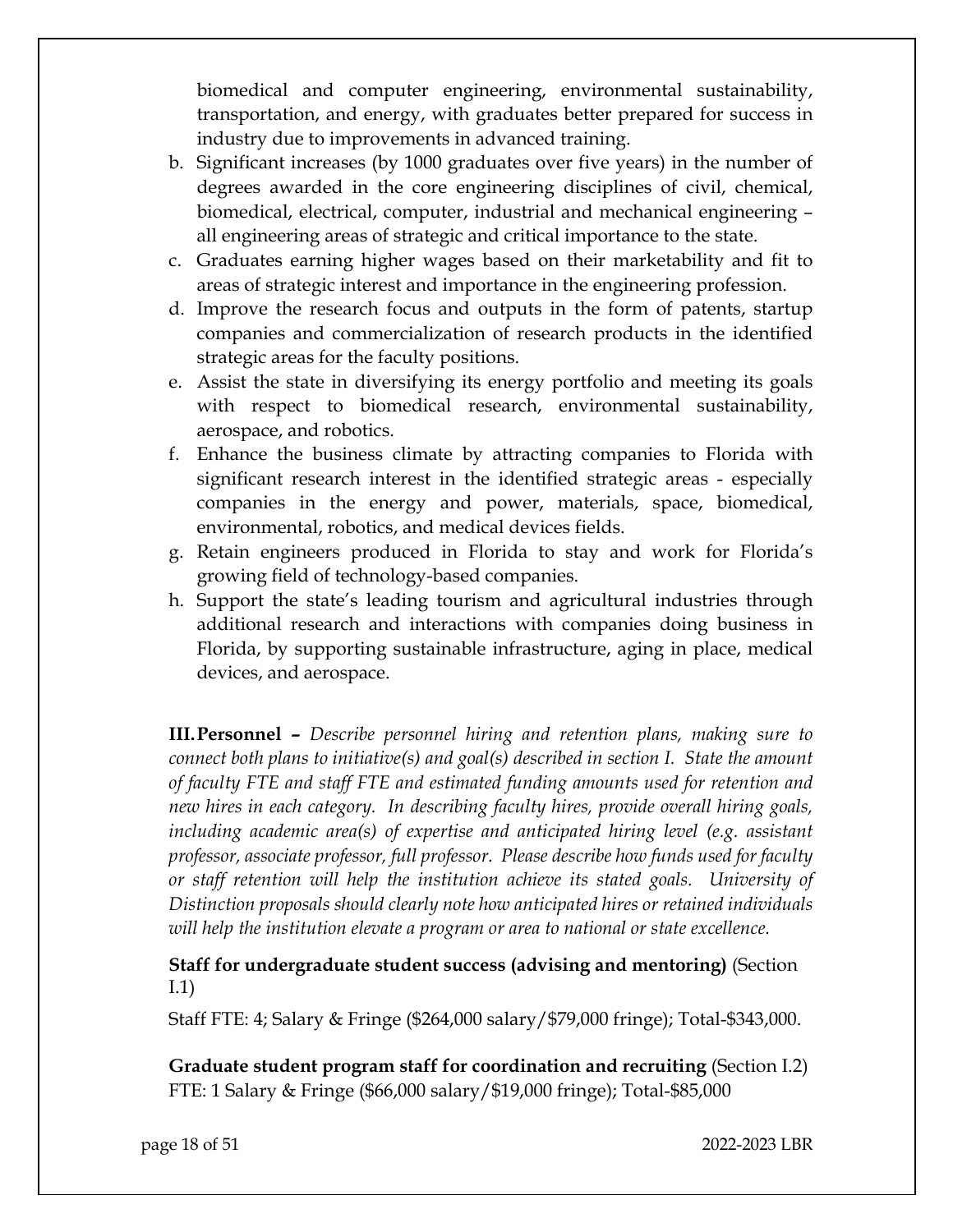biomedical and computer engineering, environmental sustainability, transportation, and energy, with graduates better prepared for success in industry due to improvements in advanced training.

- b. Significant increases (by 1000 graduates over five years) in the number of degrees awarded in the core engineering disciplines of civil, chemical, biomedical, electrical, computer, industrial and mechanical engineering – all engineering areas of strategic and critical importance to the state.
- c. Graduates earning higher wages based on their marketability and fit to areas of strategic interest and importance in the engineering profession.
- d. Improve the research focus and outputs in the form of patents, startup companies and commercialization of research products in the identified strategic areas for the faculty positions.
- e. Assist the state in diversifying its energy portfolio and meeting its goals with respect to biomedical research, environmental sustainability, aerospace, and robotics.
- f. Enhance the business climate by attracting companies to Florida with significant research interest in the identified strategic areas - especially companies in the energy and power, materials, space, biomedical, environmental, robotics, and medical devices fields.
- g. Retain engineers produced in Florida to stay and work for Florida's growing field of technology-based companies.
- h. Support the state's leading tourism and agricultural industries through additional research and interactions with companies doing business in Florida, by supporting sustainable infrastructure, aging in place, medical devices, and aerospace.

**III.Personnel –** *Describe personnel hiring and retention plans, making sure to connect both plans to initiative(s) and goal(s) described in section I. State the amount of faculty FTE and staff FTE and estimated funding amounts used for retention and new hires in each category. In describing faculty hires, provide overall hiring goals, including academic area(s) of expertise and anticipated hiring level (e.g. assistant professor, associate professor, full professor. Please describe how funds used for faculty or staff retention will help the institution achieve its stated goals. University of Distinction proposals should clearly note how anticipated hires or retained individuals will help the institution elevate a program or area to national or state excellence.*

**Staff for undergraduate student success (advising and mentoring)** (Section I.1)

Staff FTE: 4; Salary & Fringe (\$264,000 salary/\$79,000 fringe); Total-\$343,000.

**Graduate student program staff for coordination and recruiting** (Section I.2) FTE: 1 Salary & Fringe (\$66,000 salary/\$19,000 fringe); Total-\$85,000

page 18 of 51 2022-2023 LBR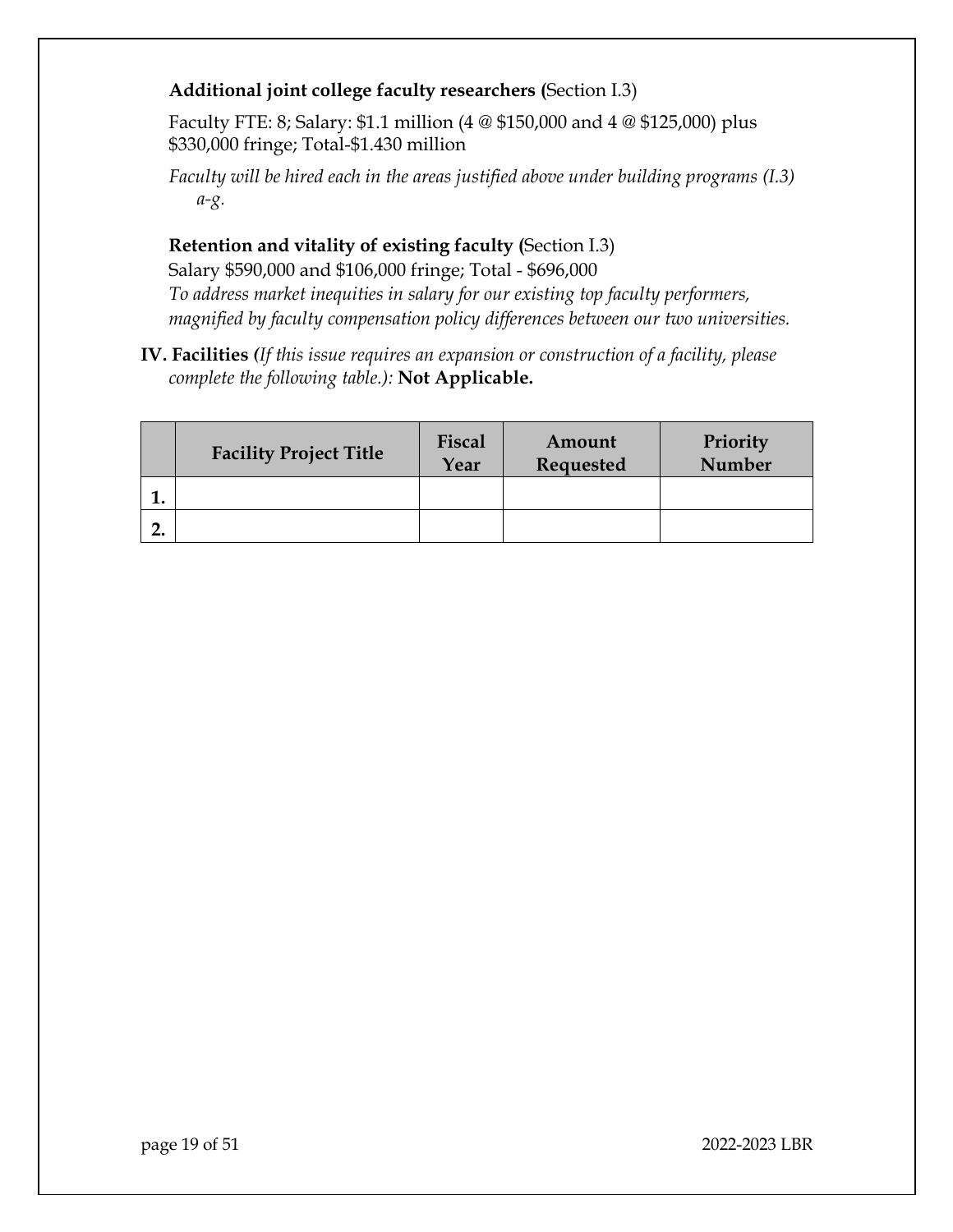## **Additional joint college faculty researchers (**Section I.3)

Faculty FTE: 8; Salary: \$1.1 million (4 @ \$150,000 and 4 @ \$125,000) plus \$330,000 fringe; Total-\$1.430 million

*Faculty will be hired each in the areas justified above under building programs (I.3) a-g.*

## **Retention and vitality of existing faculty (**Section I.3)

Salary \$590,000 and \$106,000 fringe; Total - \$696,000 *To address market inequities in salary for our existing top faculty performers, magnified by faculty compensation policy differences between our two universities.*

**IV. Facilities** *(If this issue requires an expansion or construction of a facility, please complete the following table.):* **Not Applicable.**

|         | <b>Facility Project Title</b> | Fiscal<br>Year | Amount<br>Requested | Priority<br><b>Number</b> |
|---------|-------------------------------|----------------|---------------------|---------------------------|
| ı.      |                               |                |                     |                           |
| n<br>۷. |                               |                |                     |                           |